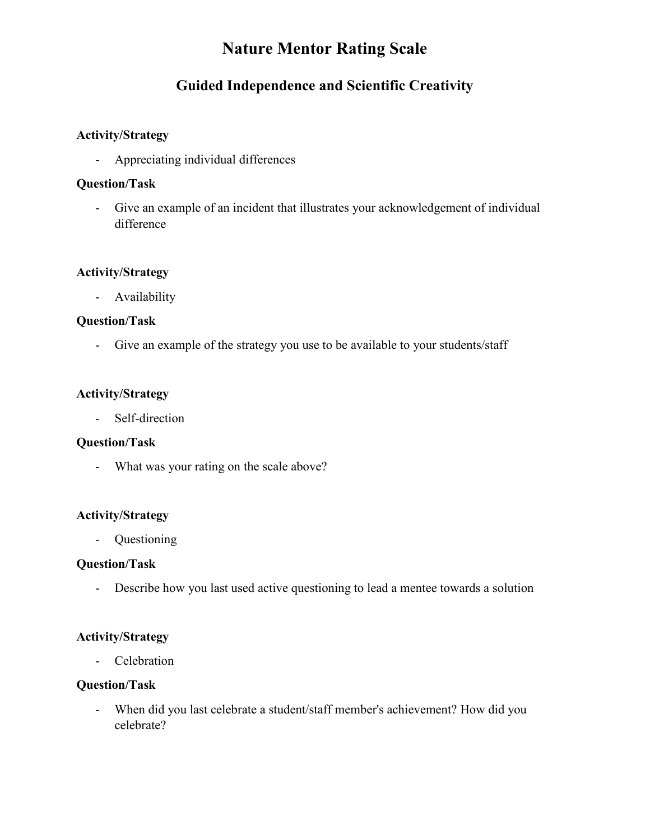# **Nature Mentor Rating Scale**

# **Guided Independence and Scientific Creativity**

### **Activity/Strategy**

- Appreciating individual differences

### **Question/Task**

- Give an example of an incident that illustrates your acknowledgement of individual difference

### **Activity/Strategy**

- Availability

# **Question/Task**

- Give an example of the strategy you use to be available to your students/staff

# **Activity/Strategy**

- Self-direction

### **Question/Task**

- What was your rating on the scale above?

### **Activity/Strategy**

- Questioning

### **Question/Task**

- Describe how you last used active questioning to lead a mentee towards a solution

### **Activity/Strategy**

- Celebration

# **Question/Task**

- When did you last celebrate a student/staff member's achievement? How did you celebrate?